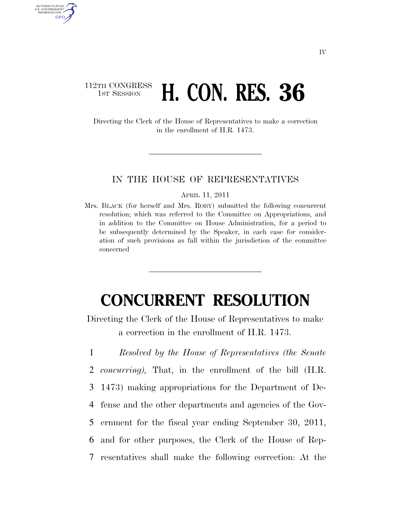## 112TH CONGRESS **1st Session <b>H. CON. RES. 36**

AUTHENTICATED U.S. GOVERNMENT GPO

> Directing the Clerk of the House of Representatives to make a correction in the enrollment of H.R. 1473.

## IN THE HOUSE OF REPRESENTATIVES

## APRIL 11, 2011

Mrs. BLACK (for herself and Mrs. ROBY) submitted the following concurrent resolution; which was referred to the Committee on Appropriations, and in addition to the Committee on House Administration, for a period to be subsequently determined by the Speaker, in each case for consideration of such provisions as fall within the jurisdiction of the committee concerned

## **CONCURRENT RESOLUTION**

Directing the Clerk of the House of Representatives to make a correction in the enrollment of H.R. 1473.

 *Resolved by the House of Representatives (the Senate concurring),* That, in the enrollment of the bill (H.R. 1473) making appropriations for the Department of De- fense and the other departments and agencies of the Gov- ernment for the fiscal year ending September 30, 2011, and for other purposes, the Clerk of the House of Rep-resentatives shall make the following correction: At the